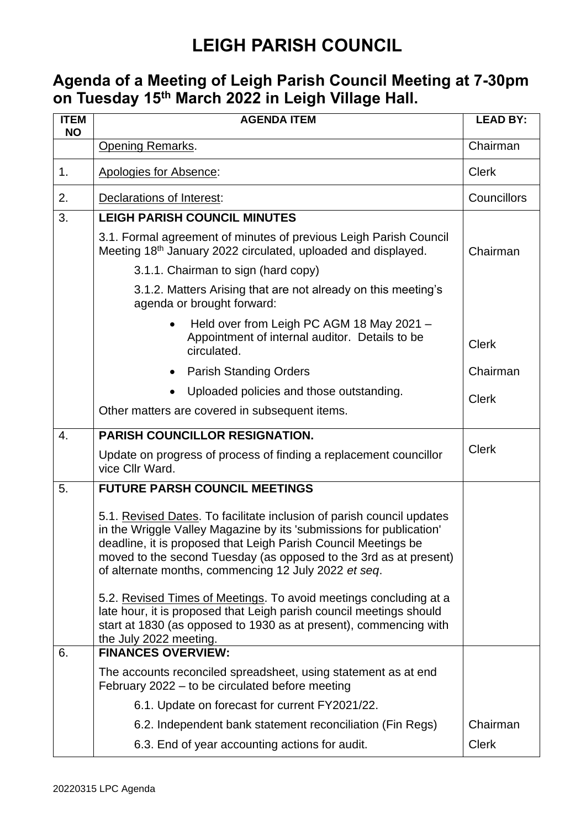#### **Agenda of a Meeting of Leigh Parish Council Meeting at 7-30pm on Tuesday 15 th March 2022 in Leigh Village Hall.**

| <b>ITEM</b><br><b>NO</b> | <b>AGENDA ITEM</b>                                                                                                                                                                                                                                                                                                                          | <b>LEAD BY:</b> |
|--------------------------|---------------------------------------------------------------------------------------------------------------------------------------------------------------------------------------------------------------------------------------------------------------------------------------------------------------------------------------------|-----------------|
|                          | <b>Opening Remarks.</b>                                                                                                                                                                                                                                                                                                                     | Chairman        |
| 1 <sub>1</sub>           | Apologies for Absence:                                                                                                                                                                                                                                                                                                                      | <b>Clerk</b>    |
| 2.                       | Declarations of Interest:                                                                                                                                                                                                                                                                                                                   | Councillors     |
| 3.                       | <b>LEIGH PARISH COUNCIL MINUTES</b>                                                                                                                                                                                                                                                                                                         |                 |
|                          | 3.1. Formal agreement of minutes of previous Leigh Parish Council<br>Meeting 18th January 2022 circulated, uploaded and displayed.                                                                                                                                                                                                          | Chairman        |
|                          | 3.1.1. Chairman to sign (hard copy)                                                                                                                                                                                                                                                                                                         |                 |
|                          | 3.1.2. Matters Arising that are not already on this meeting's<br>agenda or brought forward:                                                                                                                                                                                                                                                 |                 |
|                          | Held over from Leigh PC AGM 18 May 2021 -<br>$\bullet$<br>Appointment of internal auditor. Details to be<br>circulated.                                                                                                                                                                                                                     | <b>Clerk</b>    |
|                          | <b>Parish Standing Orders</b><br>٠                                                                                                                                                                                                                                                                                                          | Chairman        |
|                          | Uploaded policies and those outstanding.                                                                                                                                                                                                                                                                                                    | <b>Clerk</b>    |
|                          | Other matters are covered in subsequent items.                                                                                                                                                                                                                                                                                              |                 |
| 4.                       | <b>PARISH COUNCILLOR RESIGNATION.</b>                                                                                                                                                                                                                                                                                                       |                 |
|                          | Update on progress of process of finding a replacement councillor<br>vice Cllr Ward.                                                                                                                                                                                                                                                        | <b>Clerk</b>    |
| 5.                       | <b>FUTURE PARSH COUNCIL MEETINGS</b>                                                                                                                                                                                                                                                                                                        |                 |
|                          | 5.1. Revised Dates. To facilitate inclusion of parish council updates<br>in the Wriggle Valley Magazine by its 'submissions for publication'<br>deadline, it is proposed that Leigh Parish Council Meetings be<br>moved to the second Tuesday (as opposed to the 3rd as at present)<br>of alternate months, commencing 12 July 2022 et seq. |                 |
|                          | 5.2. Revised Times of Meetings. To avoid meetings concluding at a<br>late hour, it is proposed that Leigh parish council meetings should<br>start at 1830 (as opposed to 1930 as at present), commencing with<br>the July 2022 meeting.                                                                                                     |                 |
| 6.                       | <b>FINANCES OVERVIEW:</b>                                                                                                                                                                                                                                                                                                                   |                 |
|                          | The accounts reconciled spreadsheet, using statement as at end<br>February 2022 – to be circulated before meeting                                                                                                                                                                                                                           |                 |
|                          | 6.1. Update on forecast for current FY2021/22.                                                                                                                                                                                                                                                                                              |                 |
|                          | 6.2. Independent bank statement reconciliation (Fin Regs)                                                                                                                                                                                                                                                                                   | Chairman        |
|                          | 6.3. End of year accounting actions for audit.                                                                                                                                                                                                                                                                                              | <b>Clerk</b>    |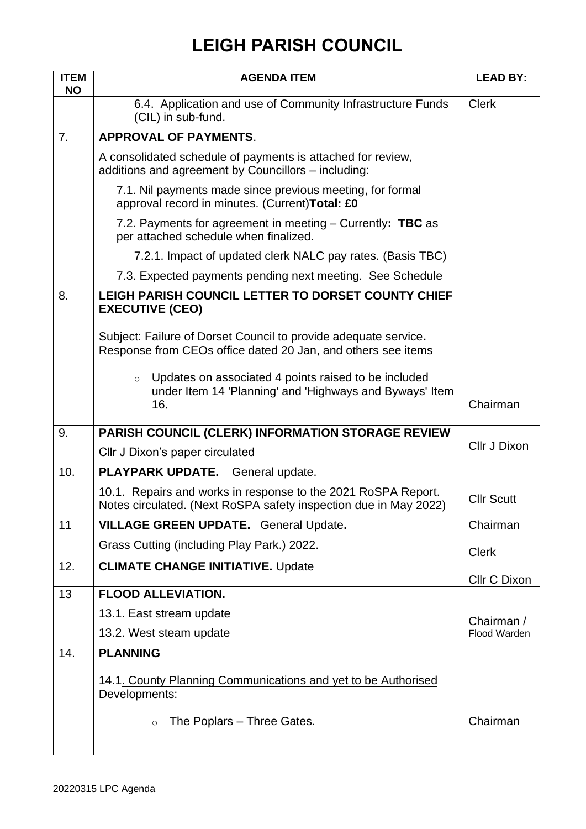| <b>ITEM</b><br><b>NO</b> | <b>AGENDA ITEM</b>                                                                                                                | <b>LEAD BY:</b>   |
|--------------------------|-----------------------------------------------------------------------------------------------------------------------------------|-------------------|
|                          | 6.4. Application and use of Community Infrastructure Funds<br>(CIL) in sub-fund.                                                  | <b>Clerk</b>      |
| 7.                       | <b>APPROVAL OF PAYMENTS.</b>                                                                                                      |                   |
|                          | A consolidated schedule of payments is attached for review,<br>additions and agreement by Councillors - including:                |                   |
|                          | 7.1. Nil payments made since previous meeting, for formal<br>approval record in minutes. (Current) Total: £0                      |                   |
|                          | 7.2. Payments for agreement in meeting $-$ Currently: TBC as<br>per attached schedule when finalized.                             |                   |
|                          | 7.2.1. Impact of updated clerk NALC pay rates. (Basis TBC)                                                                        |                   |
|                          | 7.3. Expected payments pending next meeting. See Schedule                                                                         |                   |
| 8.                       | LEIGH PARISH COUNCIL LETTER TO DORSET COUNTY CHIEF<br><b>EXECUTIVE (CEO)</b>                                                      |                   |
|                          | Subject: Failure of Dorset Council to provide adequate service.<br>Response from CEOs office dated 20 Jan, and others see items   |                   |
|                          | Updates on associated 4 points raised to be included<br>$\circ$<br>under Item 14 'Planning' and 'Highways and Byways' Item<br>16. | Chairman          |
| 9.                       | PARISH COUNCIL (CLERK) INFORMATION STORAGE REVIEW                                                                                 |                   |
|                          | Cllr J Dixon's paper circulated                                                                                                   | Cllr J Dixon      |
| 10.                      | PLAYPARK UPDATE. General update.                                                                                                  |                   |
|                          | 10.1. Repairs and works in response to the 2021 RoSPA Report.<br>Notes circulated. (Next RoSPA safety inspection due in May 2022) | <b>Cllr Scutt</b> |
| 11                       | <b>VILLAGE GREEN UPDATE.</b> General Update.                                                                                      | Chairman          |
|                          | Grass Cutting (including Play Park.) 2022.                                                                                        | <b>Clerk</b>      |
| 12.                      | <b>CLIMATE CHANGE INITIATIVE. Update</b>                                                                                          | Cllr C Dixon      |
| 13                       | <b>FLOOD ALLEVIATION.</b>                                                                                                         |                   |
|                          | 13.1. East stream update                                                                                                          | Chairman /        |
|                          | 13.2. West steam update                                                                                                           | Flood Warden      |
| 14.                      | <b>PLANNING</b>                                                                                                                   |                   |
|                          | 14.1. County Planning Communications and yet to be Authorised                                                                     |                   |
|                          | Developments:                                                                                                                     |                   |
|                          | The Poplars - Three Gates.<br>$\circ$                                                                                             | Chairman          |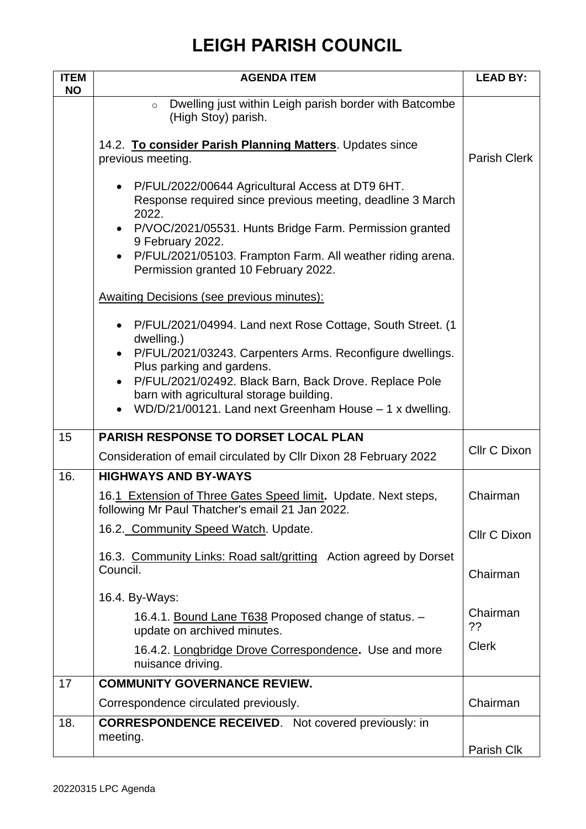| <b>ITEM</b><br><b>NO</b> | <b>AGENDA ITEM</b>                                                                                                                   | <b>LEAD BY:</b>     |
|--------------------------|--------------------------------------------------------------------------------------------------------------------------------------|---------------------|
|                          | Dwelling just within Leigh parish border with Batcombe<br>$\circ$<br>(High Stoy) parish.                                             |                     |
|                          | 14.2. To consider Parish Planning Matters. Updates since<br>previous meeting.                                                        | <b>Parish Clerk</b> |
|                          | P/FUL/2022/00644 Agricultural Access at DT9 6HT.<br>$\bullet$<br>Response required since previous meeting, deadline 3 March<br>2022. |                     |
|                          | P/VOC/2021/05531. Hunts Bridge Farm. Permission granted<br>9 February 2022.                                                          |                     |
|                          | P/FUL/2021/05103. Frampton Farm. All weather riding arena.<br>$\bullet$<br>Permission granted 10 February 2022.                      |                     |
|                          | <b>Awaiting Decisions (see previous minutes):</b>                                                                                    |                     |
|                          | P/FUL/2021/04994. Land next Rose Cottage, South Street. (1<br>$\bullet$<br>dwelling.)                                                |                     |
|                          | P/FUL/2021/03243. Carpenters Arms. Reconfigure dwellings.<br>$\bullet$<br>Plus parking and gardens.                                  |                     |
|                          | P/FUL/2021/02492. Black Barn, Back Drove. Replace Pole<br>barn with agricultural storage building.                                   |                     |
|                          | WD/D/21/00121. Land next Greenham House - 1 x dwelling.<br>$\bullet$                                                                 |                     |
| 15                       | <b>PARISH RESPONSE TO DORSET LOCAL PLAN</b>                                                                                          |                     |
|                          | Consideration of email circulated by Cllr Dixon 28 February 2022                                                                     | Cllr C Dixon        |
| 16.                      | <b>HIGHWAYS AND BY-WAYS</b>                                                                                                          |                     |
|                          | 16.1 Extension of Three Gates Speed limit. Update. Next steps,<br>following Mr Paul Thatcher's email 21 Jan 2022.                    | Chairman            |
|                          | 16.2. Community Speed Watch. Update.                                                                                                 | Cllr C Dixon        |
|                          | 16.3. Community Links: Road salt/gritting Action agreed by Dorset<br>Council.                                                        | Chairman            |
|                          | 16.4. By-Ways:                                                                                                                       |                     |
|                          | 16.4.1. Bound Lane T638 Proposed change of status. -<br>update on archived minutes.                                                  | Chairman<br>??      |
|                          | 16.4.2. Longbridge Drove Correspondence. Use and more<br>nuisance driving.                                                           | <b>Clerk</b>        |
| 17                       | <b>COMMUNITY GOVERNANCE REVIEW.</b>                                                                                                  |                     |
|                          | Correspondence circulated previously.                                                                                                | Chairman            |
| 18.                      | <b>CORRESPONDENCE RECEIVED.</b> Not covered previously: in                                                                           |                     |
|                          | meeting.                                                                                                                             | Parish Clk          |